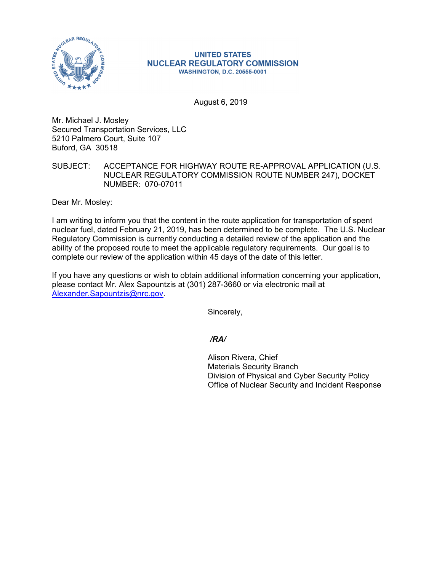

## **UNITED STATES NUCLEAR REGULATORY COMMISSION WASHINGTON, D.C. 20555-0001**

August 6, 2019

Mr. Michael J. Mosley Secured Transportation Services, LLC 5210 Palmero Court, Suite 107 Buford, GA 30518

SUBJECT: ACCEPTANCE FOR HIGHWAY ROUTE RE-APPROVAL APPLICATION (U.S. NUCLEAR REGULATORY COMMISSION ROUTE NUMBER 247), DOCKET NUMBER: 070-07011

Dear Mr. Mosley:

I am writing to inform you that the content in the route application for transportation of spent nuclear fuel, dated February 21, 2019, has been determined to be complete. The U.S. Nuclear Regulatory Commission is currently conducting a detailed review of the application and the ability of the proposed route to meet the applicable regulatory requirements. Our goal is to complete our review of the application within 45 days of the date of this letter.

If you have any questions or wish to obtain additional information concerning your application, please contact Mr. Alex Sapountzis at (301) 287-3660 or via electronic mail at Alexander.Sapountzis@nrc.gov.

Sincerely,

*/RA/* 

Alison Rivera, Chief Materials Security Branch Division of Physical and Cyber Security Policy Office of Nuclear Security and Incident Response